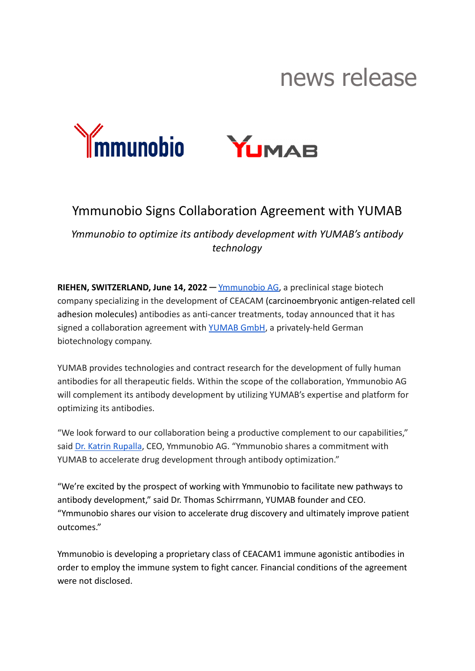## news release



## Ymmunobio Signs Collaboration Agreement with YUMAB

*Ymmunobio to optimize its antibody development with YUMAB's antibody technology*

**RIEHEN, SWITZERLAND, June 14, 2022 ─** [Ymmunobio AG](https://www.ymmunobio.com/), a preclinical stage biotech company specializing in the development of CEACAM (carcinoembryonic antigen-related cell adhesion molecules) antibodies as anti-cancer treatments, today announced that it has signed a collaboration agreement with [YUMAB GmbH,](https://www.yumab.com/) a privately-held German biotechnology company.

YUMAB provides technologies and contract research for the development of fully human antibodies for all therapeutic fields. Within the scope of the collaboration, Ymmunobio AG will complement its antibody development by utilizing YUMAB's expertise and platform for optimizing its antibodies.

"We look forward to our collaboration being a productive complement to our capabilities," said [Dr. Katrin Rupalla](https://www.linkedin.com/in/katrin-rupalla-793ab33/), CEO, Ymmunobio AG. "Ymmunobio shares a commitment with YUMAB to accelerate drug development through antibody optimization."

"We're excited by the prospect of working with Ymmunobio to facilitate new pathways to antibody development," said Dr. Thomas Schirrmann, YUMAB founder and CEO. "Ymmunobio shares our vision to accelerate drug discovery and ultimately improve patient outcomes."

Ymmunobio is developing a proprietary class of CEACAM1 immune agonistic antibodies in order to employ the immune system to fight cancer. Financial conditions of the agreement were not disclosed.